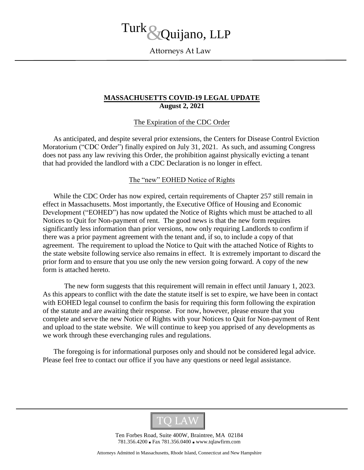# Turk Quijano, LLP

Attorneys At Law

# **MASSACHUSETTS COVID-19 LEGAL UPDATE August 2, 2021**

# The Expiration of the CDC Order

As anticipated, and despite several prior extensions, the Centers for Disease Control Eviction Moratorium ("CDC Order") finally expired on July 31, 2021. As such, and assuming Congress does not pass any law reviving this Order, the prohibition against physically evicting a tenant that had provided the landlord with a CDC Declaration is no longer in effect.

# The "new" EOHED Notice of Rights

While the CDC Order has now expired, certain requirements of Chapter 257 still remain in effect in Massachusetts. Most importantly, the Executive Office of Housing and Economic Development ("EOHED") has now updated the Notice of Rights which must be attached to all Notices to Quit for Non-payment of rent. The good news is that the new form requires significantly less information than prior versions, now only requiring Landlords to confirm if there was a prior payment agreement with the tenant and, if so, to include a copy of that agreement. The requirement to upload the Notice to Quit with the attached Notice of Rights to the state website following service also remains in effect. It is extremely important to discard the prior form and to ensure that you use only the new version going forward. A copy of the new form is attached hereto.

The new form suggests that this requirement will remain in effect until January 1, 2023. As this appears to conflict with the date the statute itself is set to expire, we have been in contact with EOHED legal counsel to confirm the basis for requiring this form following the expiration of the statute and are awaiting their response. For now, however, please ensure that you complete and serve the new Notice of Rights with your Notices to Quit for Non-payment of Rent and upload to the state website. We will continue to keep you apprised of any developments as we work through these everchanging rules and regulations.

The foregoing is for informational purposes only and should not be considered legal advice. Please feel free to contact our office if you have any questions or need legal assistance.



Ten Forbes Road, Suite 400W, Braintree, MA 02184 781.356.4200 ■ Fax 781.356.0400 ■ www.tqlawfirm.com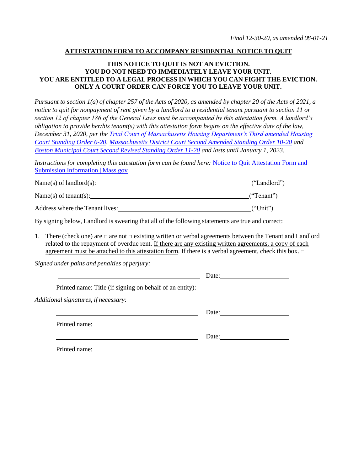#### **ATTESTATION FORM TO ACCOMPANY RESIDENTIAL NOTICE TO QUIT**

#### **THIS NOTICE TO QUIT IS NOT AN EVICTION. YOU DO NOT NEED TO IMMEDIATELY LEAVE YOUR UNIT. YOU ARE ENTITLED TO A LEGAL PROCESS IN WHICH YOU CAN FIGHT THE EVICTION. ONLY A COURT ORDER CAN FORCE YOU TO LEAVE YOUR UNIT.**

Pursuant to section  $I(a)$  of chapter 257 of the Acts of 2020, as amended by chapter 20 of the Acts of 2021, a *notice to quit for nonpayment of rent given by a landlord to a residential tenant pursuant to section 11 or section 12 of chapter 186 of the General Laws must be accompanied by this attestation form. A landlord's obligation to provide her/his tenant(s) with this attestation form begins on the effective date of the law, December 31, 2020, per the [Trial Court of Massachusetts Housing Department's Third amended Housing](https://www.mass.gov/housing-court-rules/third-amended-housing-court-standing-order-6-20-continuation-of-temporary-modifications-to-court-operations-based-on-the-coronavirus-covid-19-pandemic-and-recent-legislation-affecting-summary-process-cases)  [Court Standing Order 6-20,](https://www.mass.gov/housing-court-rules/third-amended-housing-court-standing-order-6-20-continuation-of-temporary-modifications-to-court-operations-based-on-the-coronavirus-covid-19-pandemic-and-recent-legislation-affecting-summary-process-cases) [Massachusetts District Court Second Amended Standing Order 10-20](https://www.mass.gov/districtmunicipal-court-rules/district-court-second-amended-standing-order-10-20-court-operations-for-the-adjudication-of-summary-process-cases-under-the-exigent-circumstances-created-by-covid-19) and [Boston Municipal](https://www.mass.gov/boston-municipal-court-standing-orders/boston-municipal-court-second-revised1-standing-order-11-20-court-operations-for-the-adjudication-of-summary-process-matters-during-the-continuing-covid-19-state-of-emergency) Court Second Revised Standing Order 11-20 and lasts until January 1, 2023.*

*Instructions for completing this attestation form can be found here: [Notice to Quit Attestation Form and](https://www.mass.gov/info-details/notice-to-quit-attestation-form-and-submission-information?_sm_au_=iVVZJDqSnT6fk0Qr803WKK6HVL2M2#instructions-for-completing-the-attestation-form-)* Submission [Information](https://www.mass.gov/info-details/notice-to-quit-attestation-form-and-submission-information?_sm_au_=iVVZJDqSnT6fk0Qr803WKK6HVL2M2#instructions-for-completing-the-attestation-form-) | Mass.gov

| Name(s) of landlord(s): | ("Landlord") |
|-------------------------|--------------|
|-------------------------|--------------|

Name(s) of tenant(s): ("Tenant")

Address where the Tenant lives: ("Unit")

By signing below, Landlord is swearing that all of the following statements are true and correct:

1. There (check one) are  $\Box$  are not  $\Box$  existing written or verbal agreements between the Tenant and Landlord related to the repayment of overdue rent. If there are any existing written agreements, a copy of each agreement must be attached to this attestation form. If there is a verbal agreement, check this box. □

*Signed under pains and penalties of perjury:*

|                                                          | Date: |
|----------------------------------------------------------|-------|
| Printed name: Title (if signing on behalf of an entity): |       |
| Additional signatures, if necessary:                     |       |
|                                                          | Date: |
| Printed name:                                            |       |
|                                                          | Date: |

Printed name: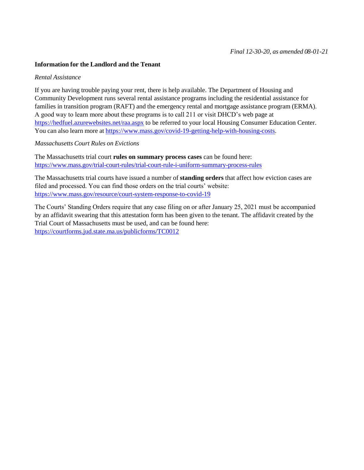#### **Information for the Landlord and the Tenant**

#### *Rental Assistance*

If you are having trouble paying your rent, there is help available. The Department of Housing and Community Development runs several rental assistance programs including the residential assistance for families in transition program (RAFT) and the emergency rental and mortgage assistance program (ERMA). A good way to learn more about these programs is to call 211 or visit DHCD's web page at <https://hedfuel.azurewebsites.net/raa.aspx> to be referred to your local Housing Consumer Education Center. You can also learn more at https:/[/www.mass.gov/covid-19-getting-help-with-housing-costs.](http://www.mass.gov/covid-19-getting-help-with-housing-costs)

#### *Massachusetts Court Rules on Evictions*

The Massachusetts trial court **rules on summary process cases** can be found here: htt[ps://ww](http://www.mass.gov/trial-court-rules/trial-court-rule-i-uniform-summary-process-rules)w.[mass.gov/trial-court-rules/trial-court-rule-i-uniform-summary-process-rules](http://www.mass.gov/trial-court-rules/trial-court-rule-i-uniform-summary-process-rules)

The Massachusetts trial courts have issued a number of **standing orders** that affect how eviction cases are filed and processed. You can find those orders on the trial courts' website: <https://www.mass.gov/resource/court-system-response-to-covid-19>

The Courts' Standing Orders require that any case filing on or after January 25, 2021 must be accompanied by an affidavit swearing that this attestation form has been given to the tenant. The affidavit created by the Trial Court of Massachusetts must be used, and can be found here: <https://courtforms.jud.state.ma.us/publicforms/TC0012>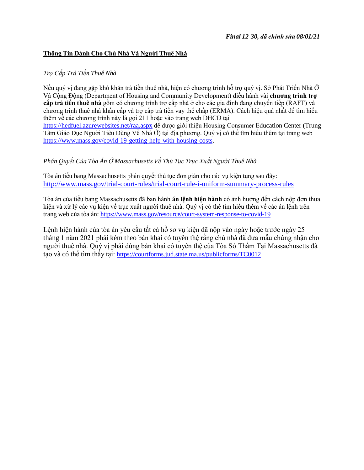### **Thông Tin Dành Cho Chủ Nhà Và Người Thuê Nhà**

### *Trợ Cấp Trả Tiền Thuê Nhà*

Nếu quý vị đang gặp khó khăn trả tiền thuê nhà, hiện có chương trình hỗ trợ quý vị. Sở Phát Triển Nhà Ở Và Cộng Động (Department of Housing and Community Development) điều hành vài **chương trình trợ cấp trả tiền thuê nhà** gồm có chương trình trợ cấp nhà ở cho các gia đình đang chuyển tiếp (RAFT) và chương trình thuê nhà khẩn cấp và trợ cấp trả tiền vay thế chấp (ERMA). Cách hiệu quả nhất để tìm hiểu thêm về các chương trình này là gọi 211 hoặc vào trang web DHCD tại <https://hedfuel.azurewebsites.net/raa.aspx> để được giới thiệu Housing Consumer Education Center (Trung Tâm Giáo Dục Người Tiêu Dùng Về Nhà Ở) tại địa phương. Quý vị có thể tìm hiểu thêm tại trang web https:/[/www.mass.gov/covid-19-getting-help-with-housing-costs.](http://www.mass.gov/covid-19-getting-help-with-housing-costs)

# *Phán Quyết Của Tòa Án Ở Massachusetts Về Thủ Tục Trục Xuất Người Thuê Nhà*

Tòa án tiểu bang Massachusetts phán quyết thủ tục đơn giản cho các vụ kiện tụng sau đây: <http://www.mass.gov/trial-court-rules/trial-court-rule-i-uniform-summary-process-rules>

Tòa án của tiểu bang Massachusetts đã ban hành **án lệnh hiện hành** có ảnh hưởng đến cách nộp đơn thưa kiện và xử lý các vụ kiện về trục xuất người thuê nhà. Quý vị có thể tìm hiểu thêm về các án lệnh trên trang web của tòa án: <https://www.mass.gov/resource/court-system-response-to-covid-19>

Lệnh hiện hành của tòa án yêu cầu tất cả hồ sơ vụ kiện đã nộp vào ngày hoặc trước ngày 25 tháng 1 năm 2021 phải kèm theo bản khai có tuyên thệ rằng chủ nhà đã đưa mẫu chứng nhận cho người thuê nhà. Quý vị phải dùng bản khai có tuyên thệ của Tòa Sở Thẩm Tại Massachusetts đã tạo và có thể tìm thấy tại: <https://courtforms.jud.state.ma.us/publicforms/TC0012>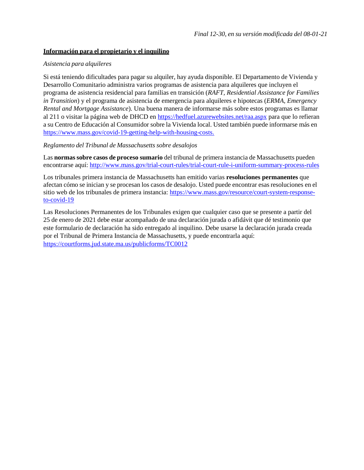### **Información para el propietario y el inquilino**

### *Asistencia para alquileres*

Si está teniendo dificultades para pagar su alquiler, hay ayuda disponible. El Departamento de Vivienda y Desarrollo Comunitario administra varios programas de asistencia para alquileres que incluyen el programa de asistencia residencial para familias en transición (*RAFT, Residential Assistance for Families in Transition*) y el programa de asistencia de emergencia para alquileres e hipotecas (*ERMA, Emergency Rental and Mortgage Assistance*). Una buena manera de informarse más sobre estos programas es llamar al 211 o visitar la página web de DHCD en<https://hedfuel.azurewebsites.net/raa.aspx> para que lo refieran a su Centro de Educación al Consumidor sobre la Vivienda local. Usted también puede informarse más en https:/[/www.mass.gov/covid-19-getting-help-with-housing-costs.](http://www.mass.gov/covid-19-getting-help-with-housing-costs)

#### *Reglamento del Tribunal de Massachusetts sobre desalojos*

Las **normas sobre casos de proceso sumario** del tribunal de primera instancia de Massachusetts pueden encontrarse aquí: <http://www.mass.gov/trial-court-rules/trial-court-rule-i-uniform-summary-process-rules>

Los tribunales primera instancia de Massachusetts han emitido varias **resoluciones permanentes** que afectan cómo se inician y se procesan los casos de desalojo. Usted puede encontrar esas resoluciones en el sitio web de los tribunales de primera instancia: [https://www.mass.gov/resource/court-system-response](https://www.mass.gov/resource/court-system-response-to-covid-19)[to-covid-19](https://www.mass.gov/resource/court-system-response-to-covid-19)

Las Resoluciones Permanentes de los Tribunales exigen que cualquier caso que se presente a partir del 25 de enero de 2021 debe estar acompañado de una declaración jurada o afidávit que dé testimonio que este formulario de declaración ha sido entregado al inquilino. Debe usarse la declaración jurada creada por el Tribunal de Primera Instancia de Massachusetts, y puede encontrarla aquí: <https://courtforms.jud.state.ma.us/publicforms/TC0012>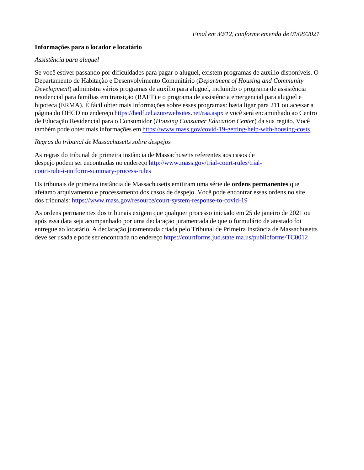### **Informações para o locador e locatário**

### *Assistência para aluguel*

Se você estiver passando por dificuldades para pagar o aluguel, existem programas de auxílio disponíveis. O Departamento de Habitação e Desenvolvimento Comunitário (*Department of Housing and Community Development*) administra vários programas de auxílio para aluguel, incluindo o programa de assistência residencial para famílias em transição (RAFT) e o programa de assistência emergencial para aluguel e hipoteca (ERMA). É fácil obter mais informações sobre esses programas: basta ligar para 211 ou acessar a página do DHCD no endereço <https://hedfuel.azurewebsites.net/raa.aspx> e você será encaminhado ao Centro de Educação Residencial para o Consumidor (*Housing Consumer Education Center*) da sua região. Você também pode obter mais informações em https:/[/www.mass.gov/covid-19-getting-help-with-housing-costs.](http://www.mass.gov/covid-19-getting-help-with-housing-costs)

### *Regras do tribunal de Massachusetts sobre despejos*

As regras do tribunal de primeira instância de Massachusetts referentes aos casos de despejo podem ser encontradas no endereço [http://www.mass.gov/trial-court-rules/trial](http://www.mass.gov/trial-court-rules/trial-court-rule-i-uniform-summary-process-rules)[court-rule-i-uniform-summary-process-rules](http://www.mass.gov/trial-court-rules/trial-court-rule-i-uniform-summary-process-rules)

Os tribunais de primeira instância de Massachusetts emitiram uma série de **ordens permanentes** que afetamo arquivamento e processamento dos casos de despejo. Você pode encontrar essas ordens no site dos tribunais:<https://www.mass.gov/resource/court-system-response-to-covid-19>

As ordens permanentes dos tribunais exigem que qualquer processo iniciado em 25 de janeiro de 2021 ou após essa data seja acompanhado por uma declaração juramentada de que o formulário de atestado foi entregue ao locatário. A declaração juramentada criada pelo Tribunal de Primeira Instância de Massachusetts deve ser usada e pode ser encontrada no endereço <https://courtforms.jud.state.ma.us/publicforms/TC0012>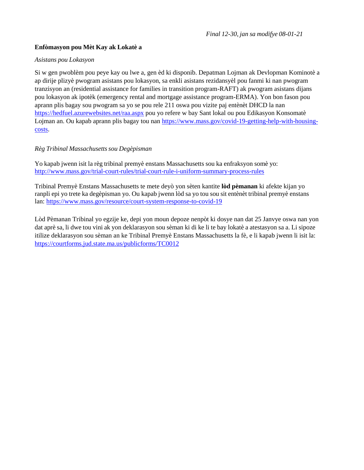# **Enfòmasyon pou Mèt Kay ak Lokatè a**

### *Asistans pou Lokasyon*

Si w gen pwoblèm pou peye kay ou lwe a, gen èd ki disponib. Depatman Lojman ak Devlopman Kominotè a ap dirije plizyè pwogram asistans pou lokasyon, sa enkli asistans rezidansyèl pou fanmi ki nan pwogram tranzisyon an (residential assistance for families in transition program-RAFT) ak pwogram asistans dijans pou lokasyon ak ipotèk (emergency rental and mortgage assistance program-ERMA). Yon bon fason pou aprann plis bagay sou pwogram sa yo se pou rele 211 oswa pou vizite paj entènèt DHCD la nan <https://hedfuel.azurewebsites.net/raa.aspx> pou yo refere w bay Sant lokal ou pou Edikasyon Konsomatè Lojman an. Ou kapab aprann plis bagay tou nan https:/[/www.mass.gov/covid-19-getting-help-with-housing](http://www.mass.gov/covid-19-getting-help-with-housing-)costs.

### *Règ Tribinal Massachusettssou Degèpisman*

Yo kapab jwenn isit la règ tribinal premyè enstans Massachusetts sou ka enfraksyon somè yo: <http://www.mass.gov/trial-court-rules/trial-court-rule-i-uniform-summary-process-rules>

Tribinal Premyè Enstans Massachusetts te mete deyò yon sèten kantite **lòd pèmanan** ki afekte kijan yo ranpli epi yo trete ka degèpisman yo. Ou kapab jwenn lòd sa yo tou sou sit entènèt tribinal premyè enstans lan: <https://www.mass.gov/resource/court-system-response-to-covid-19>

Lòd Pèmanan Tribinal yo egzije ke, depi yon moun depoze nenpòt ki dosye nan dat 25 Janvye oswa nan yon dat aprè sa, li dwe tou vini ak yon deklarasyon sou sèman ki di ke li te bay lokatè a atestasyon sa a. Li sipoze itilize deklarasyon sou sèman an ke Tribinal Premyè Enstans Massachusetts la fè, e li kapab jwenn li isit la: <https://courtforms.jud.state.ma.us/publicforms/TC0012>